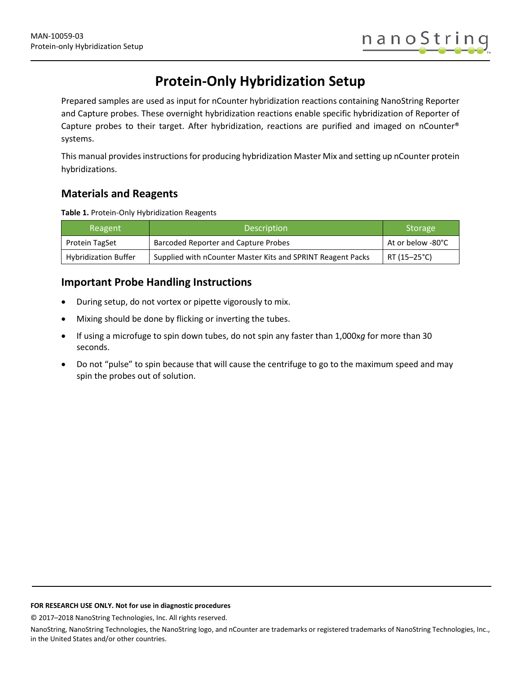# **Protein-Only Hybridization Setup**

Prepared samples are used as input for nCounter hybridization reactions containing NanoString Reporter and Capture probes. These overnight hybridization reactions enable specific hybridization of Reporter of Capture probes to their target. After hybridization, reactions are purified and imaged on nCounter® systems.

This manual provides instructions for producing hybridization Master Mix and setting up nCounter protein hybridizations.

## **Materials and Reagents**

**Table 1.** Protein-Only Hybridization Reagents

| Reagent                     | <b>Description</b>                                          | Storage           |
|-----------------------------|-------------------------------------------------------------|-------------------|
| Protein TagSet              | Barcoded Reporter and Capture Probes                        | At or below -80°C |
| <b>Hybridization Buffer</b> | Supplied with nCounter Master Kits and SPRINT Reagent Packs | RT (15–25°C)      |

### **Important Probe Handling Instructions**

- During setup, do not vortex or pipette vigorously to mix.
- Mixing should be done by flicking or inverting the tubes.
- If using a microfuge to spin down tubes, do not spin any faster than 1,000x*g* for more than 30 seconds.
- Do not "pulse" to spin because that will cause the centrifuge to go to the maximum speed and may spin the probes out of solution.

#### **FOR RESEARCH USE ONLY. Not for use in diagnostic procedures**

© 2017–2018 NanoString Technologies, Inc. All rights reserved.

NanoString, NanoString Technologies, the NanoString logo, and nCounter are trademarks or registered trademarks of NanoString Technologies, Inc., in the United States and/or other countries.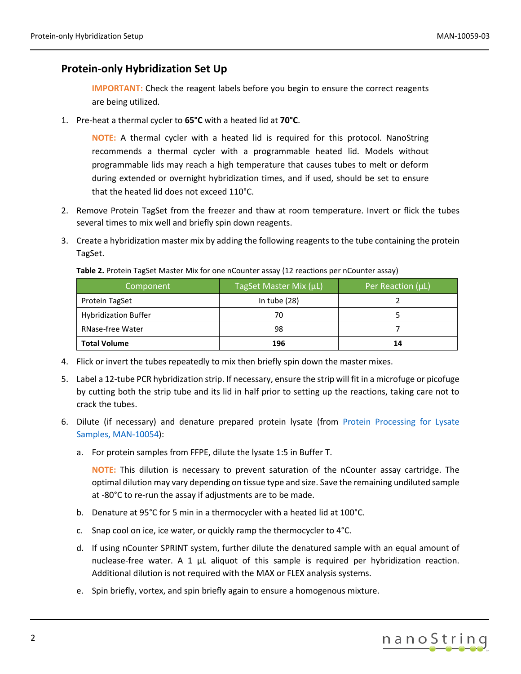### **Protein-only Hybridization Set Up**

**IMPORTANT:** Check the reagent labels before you begin to ensure the correct reagents are being utilized.

1. Pre-heat a thermal cycler to **65°C** with a heated lid at **70°C**.

**NOTE:** A thermal cycler with a heated lid is required for this protocol. NanoString recommends a thermal cycler with a programmable heated lid. Models without programmable lids may reach a high temperature that causes tubes to melt or deform during extended or overnight hybridization times, and if used, should be set to ensure that the heated lid does not exceed 110°C.

- 2. Remove Protein TagSet from the freezer and thaw at room temperature. Invert or flick the tubes several times to mix well and briefly spin down reagents.
- 3. Create a hybridization master mix by adding the following reagents to the tube containing the protein TagSet.

| Component                   | TagSet Master Mix (µL) | Per Reaction (µL) |
|-----------------------------|------------------------|-------------------|
| Protein TagSet              | In tube $(28)$         |                   |
| <b>Hybridization Buffer</b> | 70                     |                   |
| <b>RNase-free Water</b>     | 98                     |                   |
| <b>Total Volume</b>         | 196                    | 14                |

Table 2. Protein TagSet Master Mix for one nCounter assay (12 reactions per nCounter assay)

- 4. Flick or invert the tubes repeatedly to mix then briefly spin down the master mixes.
- 5. Label a 12-tube PCR hybridization strip. If necessary, ensure the strip will fit in a microfuge or picofuge by cutting both the strip tube and its lid in half prior to setting up the reactions, taking care not to crack the tubes.
- 6. Dilute (if necessary) and denature prepared protein lysate (from [Protein Processing](https://www.nanostring.com/download_file/view/865/3778) for Lysate [Samples, MAN-10054\)](https://www.nanostring.com/download_file/view/865/3778):
	- a. For protein samples from FFPE, dilute the lysate 1:5 in Buffer T.

**NOTE:** This dilution is necessary to prevent saturation of the nCounter assay cartridge. The optimal dilution may vary depending on tissue type and size. Save the remaining undiluted sample at -80°C to re-run the assay if adjustments are to be made.

- b. Denature at 95°C for 5 min in a thermocycler with a heated lid at 100°C.
- c. Snap cool on ice, ice water, or quickly ramp the thermocycler to 4°C.
- d. If using nCounter SPRINT system, further dilute the denatured sample with an equal amount of nuclease-free water. A 1  $\mu$ L aliquot of this sample is required per hybridization reaction. Additional dilution is not required with the MAX or FLEX analysis systems.
- e. Spin briefly, vortex, and spin briefly again to ensure a homogenous mixture.